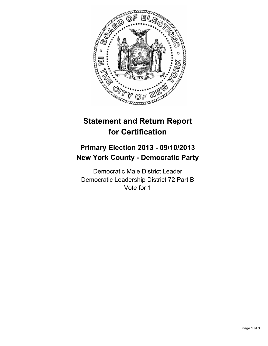

# **Statement and Return Report for Certification**

# **Primary Election 2013 - 09/10/2013 New York County - Democratic Party**

Democratic Male District Leader Democratic Leadership District 72 Part B Vote for 1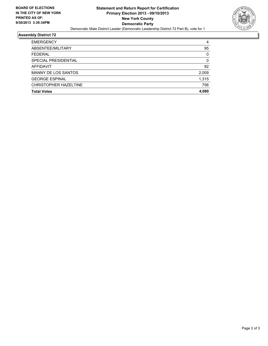

## **Assembly District 72**

| <b>EMERGENCY</b>           | 4     |
|----------------------------|-------|
| ABSENTEE/MILITARY          | 95    |
| <b>FEDERAL</b>             | 0     |
| SPECIAL PRESIDENTIAL       | 0     |
| AFFIDAVIT                  | 92    |
| <b>MANNY DE LOS SANTOS</b> | 2,009 |
| <b>GEORGE ESPINAL</b>      | 1,315 |
| CHRISTOPHER HAZELTINE      | 756   |
| <b>Total Votes</b>         | 4,080 |
|                            |       |